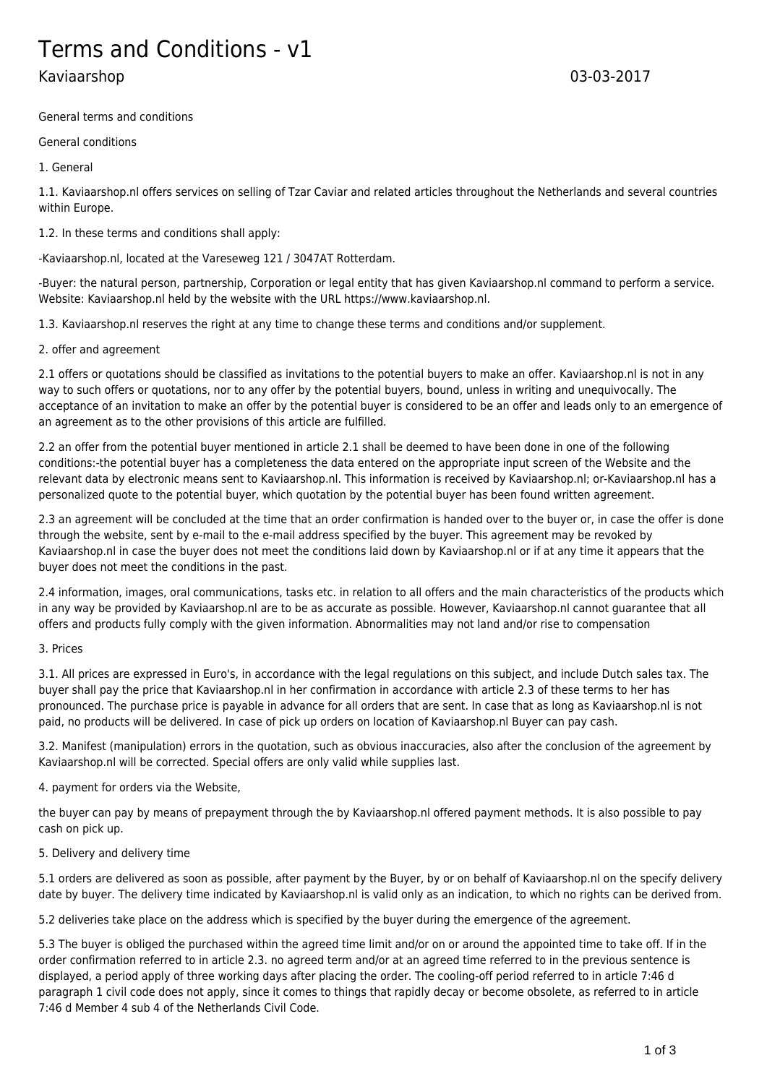# Terms and Conditions - v1

# Kaviaarshop 03-03-2017

General terms and conditions

General conditions

1. General

1.1. Kaviaarshop.nl offers services on selling of Tzar Caviar and related articles throughout the Netherlands and several countries within Europe.

1.2. In these terms and conditions shall apply:

-Kaviaarshop.nl, located at the Vareseweg 121 / 3047AT Rotterdam.

-Buyer: the natural person, partnership, Corporation or legal entity that has given Kaviaarshop.nl command to perform a service. Website: Kaviaarshop.nl held by the website with the URL https://www.kaviaarshop.nl.

1.3. Kaviaarshop.nl reserves the right at any time to change these terms and conditions and/or supplement.

2. offer and agreement

2.1 offers or quotations should be classified as invitations to the potential buyers to make an offer. Kaviaarshop.nl is not in any way to such offers or quotations, nor to any offer by the potential buyers, bound, unless in writing and unequivocally. The acceptance of an invitation to make an offer by the potential buyer is considered to be an offer and leads only to an emergence of an agreement as to the other provisions of this article are fulfilled.

2.2 an offer from the potential buyer mentioned in article 2.1 shall be deemed to have been done in one of the following conditions:-the potential buyer has a completeness the data entered on the appropriate input screen of the Website and the relevant data by electronic means sent to Kaviaarshop.nl. This information is received by Kaviaarshop.nl; or-Kaviaarshop.nl has a personalized quote to the potential buyer, which quotation by the potential buyer has been found written agreement.

2.3 an agreement will be concluded at the time that an order confirmation is handed over to the buyer or, in case the offer is done through the website, sent by e-mail to the e-mail address specified by the buyer. This agreement may be revoked by Kaviaarshop.nl in case the buyer does not meet the conditions laid down by Kaviaarshop.nl or if at any time it appears that the buyer does not meet the conditions in the past.

2.4 information, images, oral communications, tasks etc. in relation to all offers and the main characteristics of the products which in any way be provided by Kaviaarshop.nl are to be as accurate as possible. However, Kaviaarshop.nl cannot guarantee that all offers and products fully comply with the given information. Abnormalities may not land and/or rise to compensation

# 3. Prices

3.1. All prices are expressed in Euro's, in accordance with the legal regulations on this subject, and include Dutch sales tax. The buyer shall pay the price that Kaviaarshop.nl in her confirmation in accordance with article 2.3 of these terms to her has pronounced. The purchase price is payable in advance for all orders that are sent. In case that as long as Kaviaarshop.nl is not paid, no products will be delivered. In case of pick up orders on location of Kaviaarshop.nl Buyer can pay cash.

3.2. Manifest (manipulation) errors in the quotation, such as obvious inaccuracies, also after the conclusion of the agreement by Kaviaarshop.nl will be corrected. Special offers are only valid while supplies last.

4. payment for orders via the Website,

the buyer can pay by means of prepayment through the by Kaviaarshop.nl offered payment methods. It is also possible to pay cash on pick up.

# 5. Delivery and delivery time

5.1 orders are delivered as soon as possible, after payment by the Buyer, by or on behalf of Kaviaarshop.nl on the specify delivery date by buyer. The delivery time indicated by Kaviaarshop.nl is valid only as an indication, to which no rights can be derived from.

5.2 deliveries take place on the address which is specified by the buyer during the emergence of the agreement.

5.3 The buyer is obliged the purchased within the agreed time limit and/or on or around the appointed time to take off. If in the order confirmation referred to in article 2.3. no agreed term and/or at an agreed time referred to in the previous sentence is displayed, a period apply of three working days after placing the order. The cooling-off period referred to in article 7:46 d paragraph 1 civil code does not apply, since it comes to things that rapidly decay or become obsolete, as referred to in article 7:46 d Member 4 sub 4 of the Netherlands Civil Code.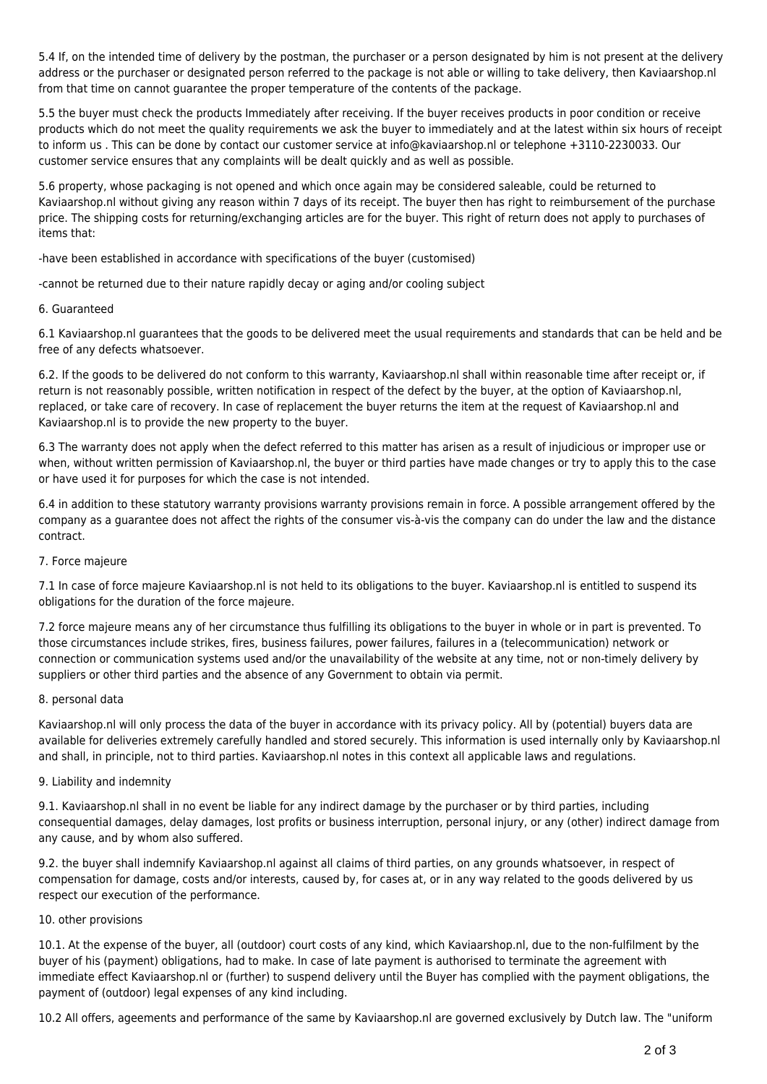5.4 If, on the intended time of delivery by the postman, the purchaser or a person designated by him is not present at the delivery address or the purchaser or designated person referred to the package is not able or willing to take delivery, then Kaviaarshop.nl from that time on cannot guarantee the proper temperature of the contents of the package.

5.5 the buyer must check the products Immediately after receiving. If the buyer receives products in poor condition or receive products which do not meet the quality requirements we ask the buyer to immediately and at the latest within six hours of receipt to inform us . This can be done by contact our customer service at info@kaviaarshop.nl or telephone +3110-2230033. Our customer service ensures that any complaints will be dealt quickly and as well as possible.

5.6 property, whose packaging is not opened and which once again may be considered saleable, could be returned to Kaviaarshop.nl without giving any reason within 7 days of its receipt. The buyer then has right to reimbursement of the purchase price. The shipping costs for returning/exchanging articles are for the buyer. This right of return does not apply to purchases of items that:

-have been established in accordance with specifications of the buyer (customised)

-cannot be returned due to their nature rapidly decay or aging and/or cooling subject

#### 6. Guaranteed

6.1 Kaviaarshop.nl guarantees that the goods to be delivered meet the usual requirements and standards that can be held and be free of any defects whatsoever.

6.2. If the goods to be delivered do not conform to this warranty, Kaviaarshop.nl shall within reasonable time after receipt or, if return is not reasonably possible, written notification in respect of the defect by the buyer, at the option of Kaviaarshop.nl, replaced, or take care of recovery. In case of replacement the buyer returns the item at the request of Kaviaarshop.nl and Kaviaarshop.nl is to provide the new property to the buyer.

6.3 The warranty does not apply when the defect referred to this matter has arisen as a result of injudicious or improper use or when, without written permission of Kaviaarshop.nl, the buyer or third parties have made changes or try to apply this to the case or have used it for purposes for which the case is not intended.

6.4 in addition to these statutory warranty provisions warranty provisions remain in force. A possible arrangement offered by the company as a guarantee does not affect the rights of the consumer vis-à-vis the company can do under the law and the distance contract.

# 7. Force majeure

7.1 In case of force majeure Kaviaarshop.nl is not held to its obligations to the buyer. Kaviaarshop.nl is entitled to suspend its obligations for the duration of the force majeure.

7.2 force majeure means any of her circumstance thus fulfilling its obligations to the buyer in whole or in part is prevented. To those circumstances include strikes, fires, business failures, power failures, failures in a (telecommunication) network or connection or communication systems used and/or the unavailability of the website at any time, not or non-timely delivery by suppliers or other third parties and the absence of any Government to obtain via permit.

#### 8. personal data

Kaviaarshop.nl will only process the data of the buyer in accordance with its privacy policy. All by (potential) buyers data are available for deliveries extremely carefully handled and stored securely. This information is used internally only by Kaviaarshop.nl and shall, in principle, not to third parties. Kaviaarshop.nl notes in this context all applicable laws and regulations.

#### 9. Liability and indemnity

9.1. Kaviaarshop.nl shall in no event be liable for any indirect damage by the purchaser or by third parties, including consequential damages, delay damages, lost profits or business interruption, personal injury, or any (other) indirect damage from any cause, and by whom also suffered.

9.2. the buyer shall indemnify Kaviaarshop.nl against all claims of third parties, on any grounds whatsoever, in respect of compensation for damage, costs and/or interests, caused by, for cases at, or in any way related to the goods delivered by us respect our execution of the performance.

#### 10. other provisions

10.1. At the expense of the buyer, all (outdoor) court costs of any kind, which Kaviaarshop.nl, due to the non-fulfilment by the buyer of his (payment) obligations, had to make. In case of late payment is authorised to terminate the agreement with immediate effect Kaviaarshop.nl or (further) to suspend delivery until the Buyer has complied with the payment obligations, the payment of (outdoor) legal expenses of any kind including.

10.2 All offers, ageements and performance of the same by Kaviaarshop.nl are governed exclusively by Dutch law. The "uniform